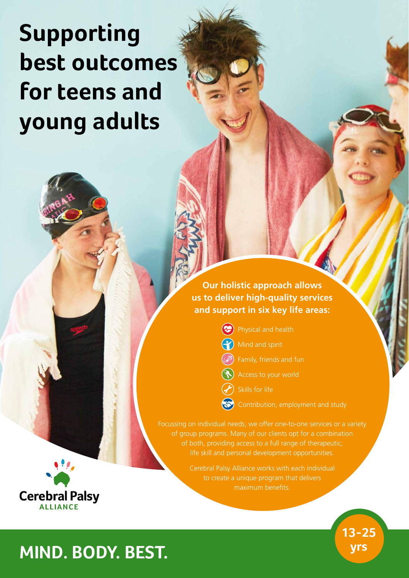# **Supporting best outcomes for teens and young adults**

**Our holistic approach allows us to deliver high-quality services and support in six key life areas:**

**(C)** Physical and health

Mind and spirit

- Family, friends and fun
- Access to your world

Skills for life

Contribution, employment and study

**13-25** 

Focussing on individual needs, we offer one-to-one services or a variety of group programs. Many of our clients opt for a combination of both, providing access to a full range of therapeutic, life skill and personal development opportunities.

> Cerebral Palsy Alliance works with each individual to create a unique program that delivers maximum benefits.



## **yrs MIND. BODY. BEST.**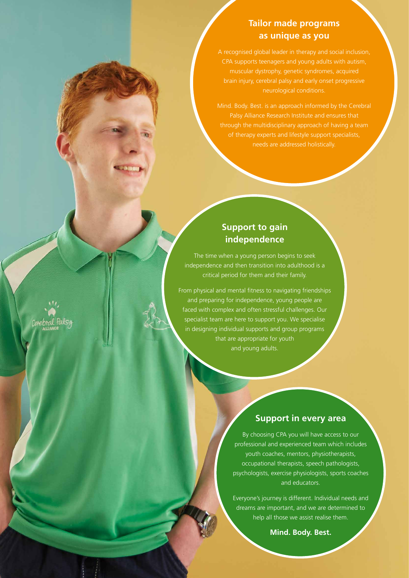### **Tailor made programs as unique as you**

A recognised global leader in therapy and social inclusion, CPA supports teenagers and young adults with autism, muscular dystrophy, genetic syndromes, acquired brain injury, cerebral palsy and early onset progressive neurological conditions.

Mind. Body. Best. is an approach informed by the Cerebral Palsy Alliance Research Institute and ensures that through the multidisciplinary approach of having a team of therapy experts and lifestyle support specialists, needs are addressed holistically.

#### **Support to gain independence**

The time when a young person begins to seek independence and then transition into adulthood is a critical period for them and their family.

From physical and mental fitness to navigating friendships and preparing for independence, young people are faced with complex and often stressful challenges. Our specialist team are here to support you. We specialise in designing individual supports and group programs that are appropriate for youth and young adults.

#### **Support in every area**

By choosing CPA you will have access to our professional and experienced team which includes youth coaches, mentors, physiotherapists, occupational therapists, speech pathologists, psychologists, exercise physiologists, sports coaches and educators.

Everyone's journey is different. Individual needs and dreams are important, and we are determined to help all those we assist realise them.

**Mind. Body. Best.**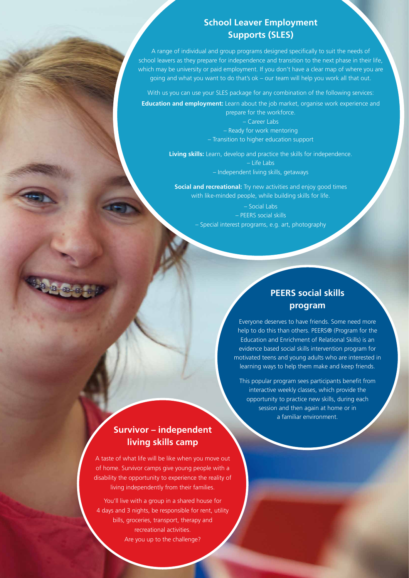### **School Leaver Employment Supports (SLES)**

A range of individual and group programs designed specifically to suit the needs of school leavers as they prepare for independence and transition to the next phase in their life, which may be university or paid employment. If you don't have a clear map of where you are going and what you want to do that's ok – our team will help you work all that out.

With us you can use your SLES package for any combination of the following services:

**Education and employment:** Learn about the job market, organise work experience and prepare for the workforce.

> – Career Labs – Ready for work mentoring – Transition to higher education support

**Living skills:** Learn, develop and practice the skills for independence. – Life Labs – Independent living skills, getaways

**Social and recreational:** Try new activities and enjoy good times with like-minded people, while building skills for life.

> – Social Labs – PEERS social skills – Special interest programs, e.g. art, photography

### **PEERS social skills program**

Everyone deserves to have friends. Some need more help to do this than others. PEERS® (Program for the Education and Enrichment of Relational Skills) is an evidence based social skills intervention program for motivated teens and young adults who are interested in learning ways to help them make and keep friends.

This popular program sees participants benefit from interactive weekly classes, which provide the opportunity to practice new skills, during each session and then again at home or in a familiar environment.

## **Survivor – independent living skills camp**

A taste of what life will be like when you move out of home. Survivor camps give young people with a disability the opportunity to experience the reality of living independently from their families.

You'll live with a group in a shared house for 4 days and 3 nights, be responsible for rent, utility bills, groceries, transport, therapy and recreational activities. Are you up to the challenge?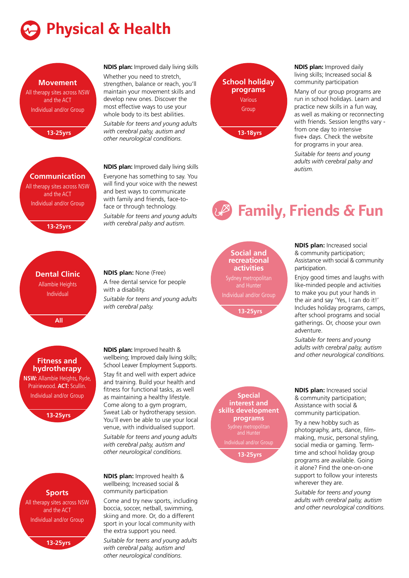



*with cerebral palsy, autism and other neurological conditions.*

**School holiday programs** Various Group **13-18yrs**

**NDIS plan:** Improved daily living skills; Increased social & community participation

Many of our group programs are run in school holidays. Learn and practice new skills in a fun way, as well as making or reconnecting with friends. Session lengths vary from one day to intensive five+ days. Check the website for programs in your area.

*Suitable for teens and young adults with cerebral palsy and autism.*

## **Family, Friends & Fun**

#### **Social and recreational activities**

and Hunter Individual and/or Group

**13-25yrs**

**Special** 

**programs**

**13-25yrs**

**NDIS plan:** Increased social & community participation; Assistance with social & community participation.

Enjoy good times and laughs with like-minded people and activities to make you put your hands in the air and say 'Yes, I can do it!' Includes holiday programs, camps, after school programs and social gatherings. Or, choose your own adventure.

*Suitable for teens and young adults with cerebral palsy, autism and other neurological conditions.*

**NDIS plan:** Increased social & community participation; Assistance with social & community participation.

Try a new hobby such as photography, arts, dance, filmmaking, music, personal styling, social media or gaming. Termtime and school holiday group programs are available. Going it alone? Find the one-on-one support to follow your interests wherever they are.

*Suitable for teens and young adults with cerebral palsy, autism and other neurological conditions.*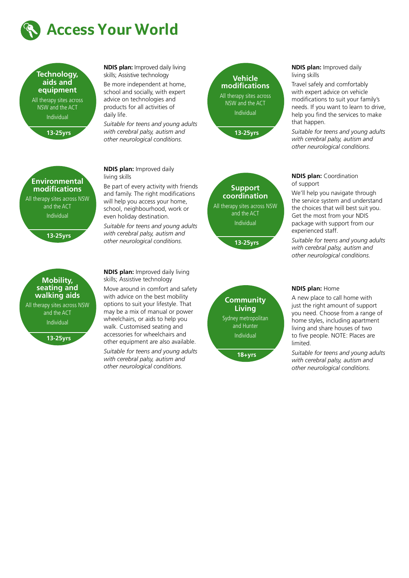



**NDIS plan:** Improved daily living skills; Assistive technology Be more independent at home, school and socially, with expert advice on technologies and

products for all activities of

**NDIS plan:** Improved daily

living skills

daily life. *Suitable for teens and young adults with cerebral palsy, autism and other neurological conditions.*

Be part of every activity with friends and family. The right modifications will help you access your home, school, neighbourhood, work or even holiday destination.

*Suitable for teens and young adults with cerebral palsy, autism and other neurological conditions.*





**13-25yrs**

**NDIS plan:** Improved daily living skills

Travel safely and comfortably with expert advice on vehicle modifications to suit your family's needs. If you want to learn to drive, help you find the services to make that happen.

*Suitable for teens and young adults with cerebral palsy, autism and other neurological conditions.*

## **Environmental modifications** All therapy sites across NSW and the ACT Individual

#### **13-25yrs**



**NDIS plan:** Improved daily living skills; Assistive technology

Move around in comfort and safety with advice on the best mobility options to suit your lifestyle. That may be a mix of manual or power wheelchairs, or aids to help you walk. Customised seating and accessories for wheelchairs and other equipment are also available.

*Suitable for teens and young adults with cerebral palsy, autism and other neurological conditions.*

**Community Living** Sydney metropolitan and Hunter Individual

**18+yrs**

#### **NDIS plan:** Coordination of support

We'll help you navigate through the service system and understand the choices that will best suit you. Get the most from your NDIS package with support from our experienced staff.

*Suitable for teens and young adults with cerebral palsy, autism and other neurological conditions.*

#### **NDIS plan:** Home

A new place to call home with just the right amount of support you need. Choose from a range of home styles, including apartment living and share houses of two to five people. NOTE: Places are limited.

*Suitable for teens and young adults with cerebral palsy, autism and other neurological conditions.*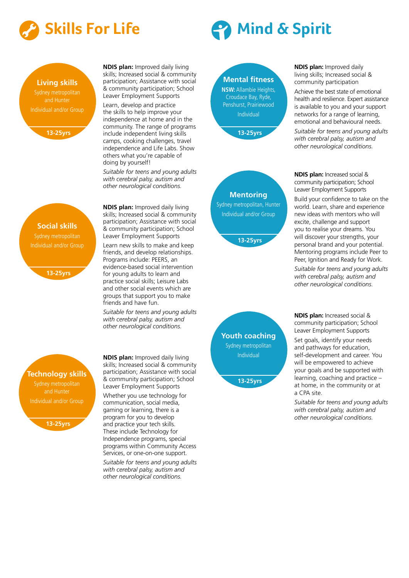

## **Living skills** and Hunter Individual and/or Group



**Social skills**

**13-25yrs**

**NDIS plan:** Improved daily living skills; Increased social & community participation; Assistance with social & community participation; School Leaver Employment Supports

Learn, develop and practice the skills to help improve your independence at home and in the community. The range of programs include independent living skills camps, cooking challenges, travel independence and Life Labs. Show others what you're capable of doing by yourself!

*Suitable for teens and young adults with cerebral palsy, autism and other neurological conditions.*

**NDIS plan:** Improved daily living skills; Increased social & community participation; Assistance with social & community participation; School Leaver Employment Supports

Learn new skills to make and keep friends, and develop relationships. Programs include: PEERS, an evidence-based social intervention for young adults to learn and practice social skills; Leisure Labs and other social events which are groups that support you to make friends and have fun.

*Suitable for teens and young adults with cerebral palsy, autism and other neurological conditions.*



**13-25yrs**

**NDIS plan:** Improved daily living skills; Increased social & community participation; Assistance with social & community participation; School Leaver Employment Supports Whether you use technology for communication, social media, gaming or learning, there is a program for you to develop and practice your tech skills. These include Technology for Independence programs, special programs within Community Access Services, or one-on-one support. *Suitable for teens and young adults* 

*with cerebral palsy, autism and other neurological conditions.*

## **Skills For Life Company Assets A Mind & Spirit**

## **Mental fitness**

**NSW:** Allambie Heights, Croudace Bay, Ryde, Penshurst, Prairiewood Individual





**NDIS plan:** Improved daily living skills; Increased social & community participation

Achieve the best state of emotional health and resilience. Expert assistance is available to you and your support networks for a range of learning, emotional and behavioural needs.

*Suitable for teens and young adults with cerebral palsy, autism and other neurological conditions.*

**NDIS plan:** Increased social & community participation; School Leaver Employment Supports Build your confidence to take on the world. Learn, share and experience new ideas with mentors who will excite, challenge and support you to realise your dreams. You will discover your strengths, your personal brand and your potential.

Peer, Ignition and Ready for Work. *Suitable for teens and young adults with cerebral palsy, autism and other neurological conditions.*

Mentoring programs include Peer to

**NDIS plan:** Increased social & community participation; School Leaver Employment Supports

Set goals, identify your needs and pathways for education, self-development and career. You will be empowered to achieve your goals and be supported with learning, coaching and practice – at home, in the community or at a CPA site.

*Suitable for teens and young adults with cerebral palsy, autism and other neurological conditions.*

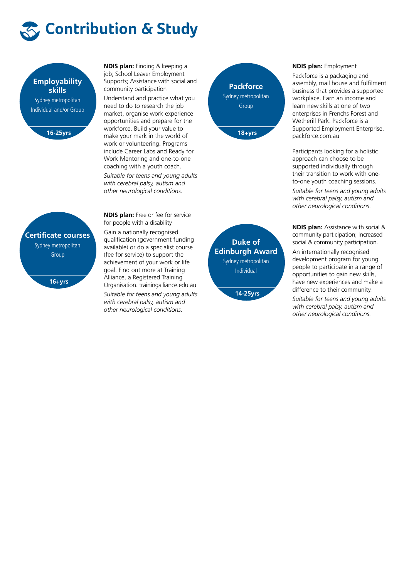



**NDIS plan:** Finding & keeping a job; School Leaver Employment Supports; Assistance with social and community participation

Understand and practice what you need to do to research the job market, organise work experience opportunities and prepare for the workforce. Build your value to make your mark in the world of work or volunteering. Programs include Career Labs and Ready for Work Mentoring and one-to-one coaching with a youth coach.

*Suitable for teens and young adults with cerebral palsy, autism and other neurological conditions.*



#### **NDIS plan:** Employment

Packforce is a packaging and assembly, mail house and fulfilment business that provides a supported workplace. Earn an income and learn new skills at one of two enterprises in Frenchs Forest and Wetherill Park. Packforce is a Supported Employment Enterprise. packforce.com.au

Participants looking for a holistic approach can choose to be supported individually through their transition to work with oneto-one youth coaching sessions.

*Suitable for teens and young adults with cerebral palsy, autism and other neurological conditions.*

**NDIS plan:** Assistance with social & community participation; Increased social & community participation.

An internationally recognised development program for young people to participate in a range of opportunities to gain new skills, have new experiences and make a difference to their community.

*Suitable for teens and young adults with cerebral palsy, autism and other neurological conditions.*

**NDIS plan:** Free or fee for service for people with a disability Gain a nationally recognised qualification (government funding available) or do a specialist course (fee for service) to support the achievement of your work or life goal. Find out more at Training Alliance, a Registered Training Organisation. trainingalliance.edu.au *Suitable for teens and young adults with cerebral palsy, autism and other neurological conditions.*





**16+yrs**